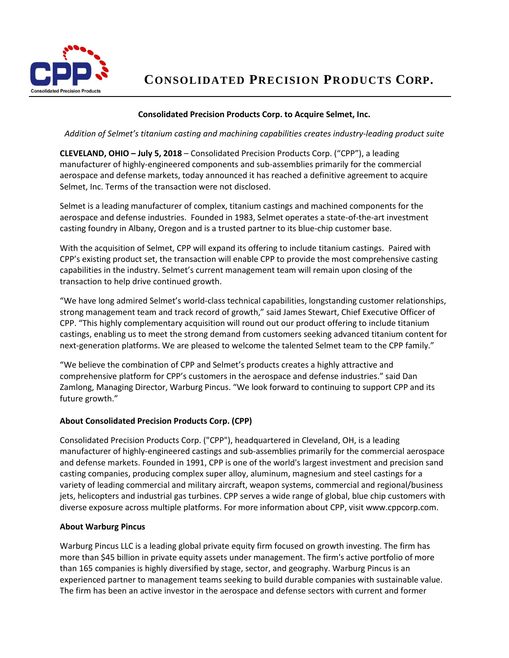

 **CONSOLIDATED PRECISION PRODUCTS CORP**.

## **Consolidated Precision Products Corp. to Acquire Selmet, Inc.**

*Addition of Selmet's titanium casting and machining capabilities creates industry-leading product suite*

**CLEVELAND, OHIO – July 5, 2018** – Consolidated Precision Products Corp. ("CPP"), a leading manufacturer of highly-engineered components and sub-assemblies primarily for the commercial aerospace and defense markets, today announced it has reached a definitive agreement to acquire Selmet, Inc. Terms of the transaction were not disclosed.

Selmet is a leading manufacturer of complex, titanium castings and machined components for the aerospace and defense industries. Founded in 1983, Selmet operates a state-of-the-art investment casting foundry in Albany, Oregon and is a trusted partner to its blue-chip customer base.

With the acquisition of Selmet, CPP will expand its offering to include titanium castings. Paired with CPP's existing product set, the transaction will enable CPP to provide the most comprehensive casting capabilities in the industry. Selmet's current management team will remain upon closing of the transaction to help drive continued growth.

"We have long admired Selmet's world-class technical capabilities, longstanding customer relationships, strong management team and track record of growth," said James Stewart, Chief Executive Officer of CPP. "This highly complementary acquisition will round out our product offering to include titanium castings, enabling us to meet the strong demand from customers seeking advanced titanium content for next-generation platforms. We are pleased to welcome the talented Selmet team to the CPP family."

"We believe the combination of CPP and Selmet's products creates a highly attractive and comprehensive platform for CPP's customers in the aerospace and defense industries." said Dan Zamlong, Managing Director, Warburg Pincus. "We look forward to continuing to support CPP and its future growth."

## **About Consolidated Precision Products Corp. (CPP)**

Consolidated Precision Products Corp. ("CPP"), headquartered in Cleveland, OH, is a leading manufacturer of highly-engineered castings and sub-assemblies primarily for the commercial aerospace and defense markets. Founded in 1991, CPP is one of the world's largest investment and precision sand casting companies, producing complex super alloy, aluminum, magnesium and steel castings for a variety of leading commercial and military aircraft, weapon systems, commercial and regional/business jets, helicopters and industrial gas turbines. CPP serves a wide range of global, blue chip customers with diverse exposure across multiple platforms. For more information about CPP, visit www.cppcorp.com.

## **About Warburg Pincus**

Warburg Pincus LLC is a leading global private equity firm focused on growth investing. The firm has more than \$45 billion in private equity assets under management. The firm's active portfolio of more than 165 companies is highly diversified by stage, sector, and geography. Warburg Pincus is an experienced partner to management teams seeking to build durable companies with sustainable value. The firm has been an active investor in the aerospace and defense sectors with current and former